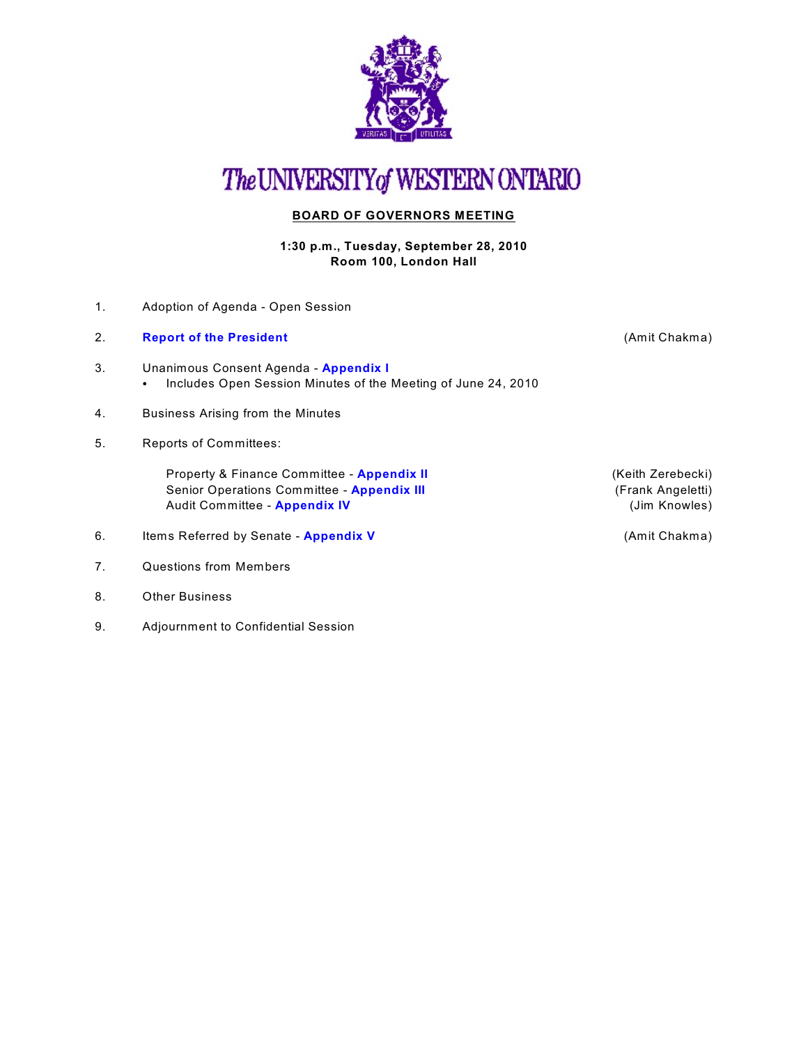

## The UNIVERSITY of WESTERN ONTARIO

### **BOARD OF GOVERNORS MEETING**

#### **1:30 p.m., Tuesday, September 28, 2010 Room 100, London Hall**

- 1. Adoption of Agenda Open Session
- 2. **[Report of the President](http://www.uwo.ca/univsec/board/minutes/2010/r1009presrep.pdf)** (Amit Chakma)
- 3. Unanimous Consent Agenda **[Appendix I](http://www.uwo.ca/univsec/board/minutes/2010/r1009consent.pdf)**  • Includes Open Session Minutes of the Meeting of June 24, 2010
- 4. Business Arising from the Minutes
- 5. Reports of Committees:

Property & Finance Committee - **[Appendix II](http://www.uwo.ca/univsec/board/minutes/2010/r1009pf.pdf)** (Keith Zerebecki) Senior Operations Committee - **[Appendix III](http://www.uwo.ca/univsec/board/minutes/2010/r1009srops.pdf)** (Frank Angeletti) Audit Committee - **[Appendix IV](http://www.uwo.ca/univsec/board/minutes/2010/r1009aud.pdf)** and the set of the set of the set of the set of the set of the set of the set of the set of the set of the set of the set of the set of the set of the set of the set of the set of the set of

- 6. Items Referred by Senate **[Appendix V](http://www.uwo.ca/univsec/board/minutes/2010/r1009sen.pdf)** (Amit Chakma)
- 7. Questions from Members
- 8. Other Business
- 9. Adjournment to Confidential Session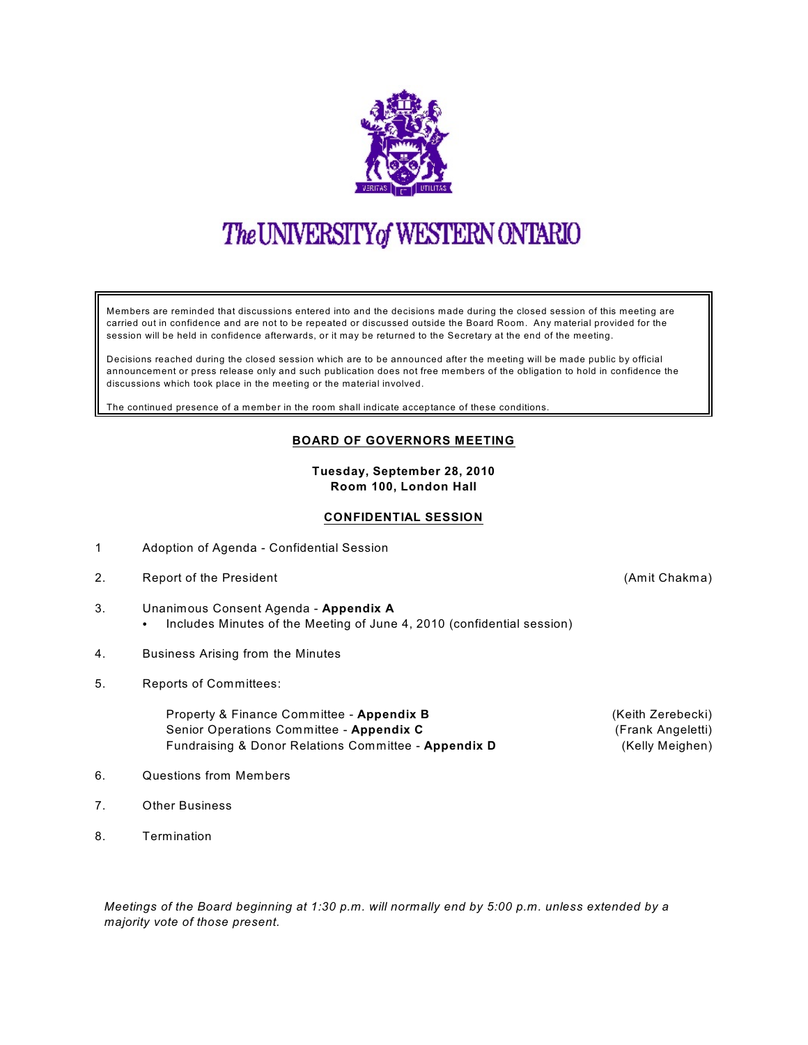

# The UNIVERSITY of WESTERN ONTARIO

Members are reminded that discussions entered into and the decisions made during the closed session of this meeting are carried out in confidence and are not to be repeated or discussed outside the Board Room. Any material provided for the session will be held in confidence afterwards, or it may be returned to the Secretary at the end of the meeting.

Decisions reached during the closed session which are to be announced after the meeting will be made public by official announcement or press release only and such publication does not free members of the obligation to hold in confidence the discussions which took place in the meeting or the material involved.

The continued presence of a member in the room shall indicate acceptance of these conditions.

#### **BOARD OF GOVERNORS MEETING**

**Tuesday, September 28, 2010 Room 100, London Hall**

#### **CONFIDENTIAL SESSION**

- 1 Adoption of Agenda Confidential Session
- 2. Report of the President Chakma is a set of the President Chakma is a set of the Report of the President Chakma
- 3. Unanimous Consent Agenda **Appendix A** • Includes Minutes of the Meeting of June 4, 2010 (confidential session)
- 4. Business Arising from the Minutes
- 5. Reports of Committees:

Property & Finance Committee - **Appendix B** (Keith Zerebecki) Senior Operations Committee - **Appendix C** (Frank Angeletti) Fundraising & Donor Relations Committee - **Appendix D** (Kelly Meighen)

- 6. Questions from Members
- 7. Other Business
- 8. Termination

*Meetings of the Board beginning at 1:30 p.m. will normally end by 5:00 p.m. unless extended by a majority vote of those present.*